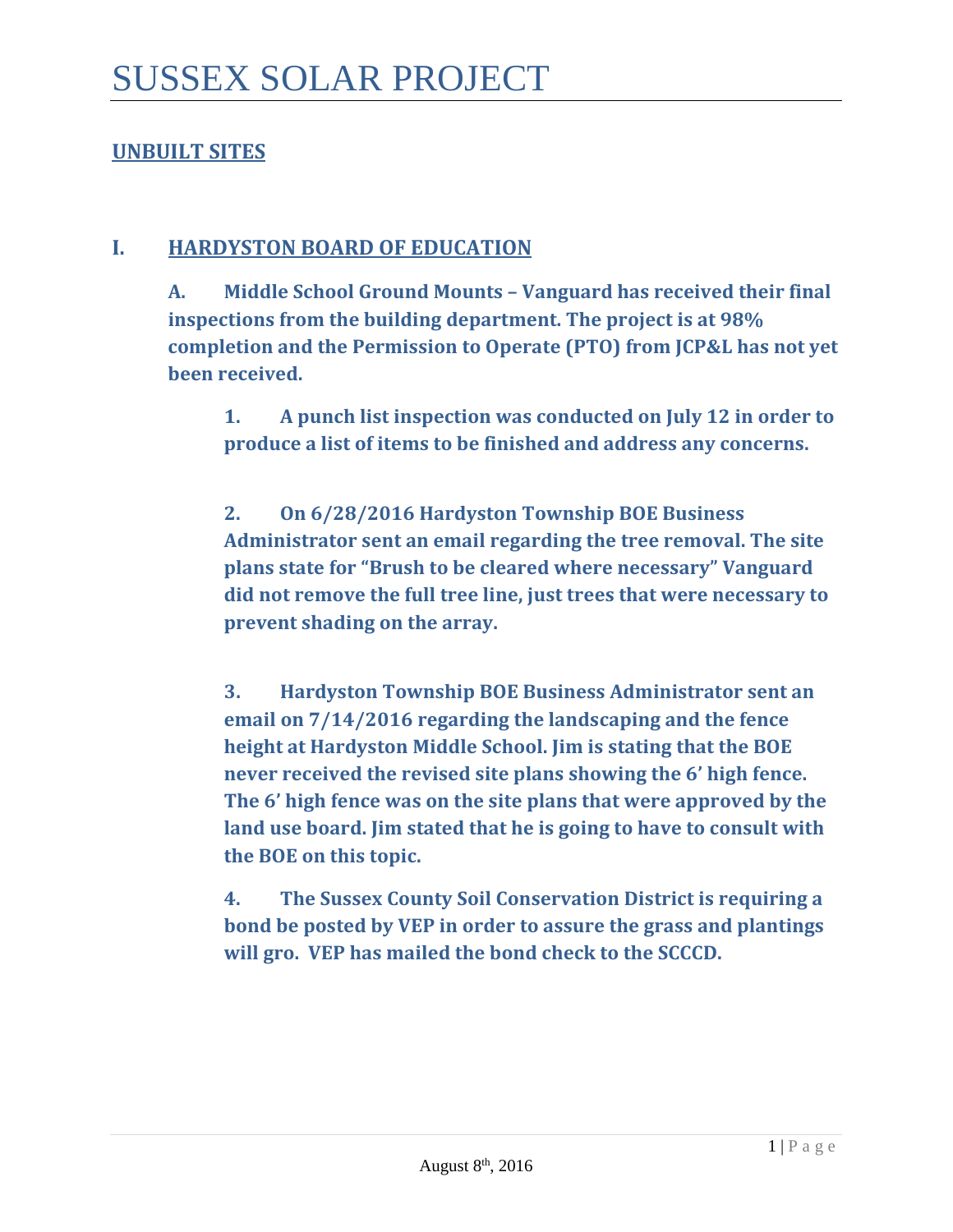### **UNBUILT SITES**

### **I. HARDYSTON BOARD OF EDUCATION**

**A. Middle School Ground Mounts – Vanguard has received their final inspections from the building department. The project is at 98% completion and the Permission to Operate (PTO) from JCP&L has not yet been received.** 

**1. A punch list inspection was conducted on July 12 in order to produce a list of items to be finished and address any concerns.**

**2. On 6/28/2016 Hardyston Township BOE Business Administrator sent an email regarding the tree removal. The site plans state for "Brush to be cleared where necessary" Vanguard did not remove the full tree line, just trees that were necessary to prevent shading on the array.** 

**3. Hardyston Township BOE Business Administrator sent an email on 7/14/2016 regarding the landscaping and the fence height at Hardyston Middle School. Jim is stating that the BOE never received the revised site plans showing the 6' high fence. The 6' high fence was on the site plans that were approved by the land use board. Jim stated that he is going to have to consult with the BOE on this topic.**

**4. The Sussex County Soil Conservation District is requiring a bond be posted by VEP in order to assure the grass and plantings will gro. VEP has mailed the bond check to the SCCCD.**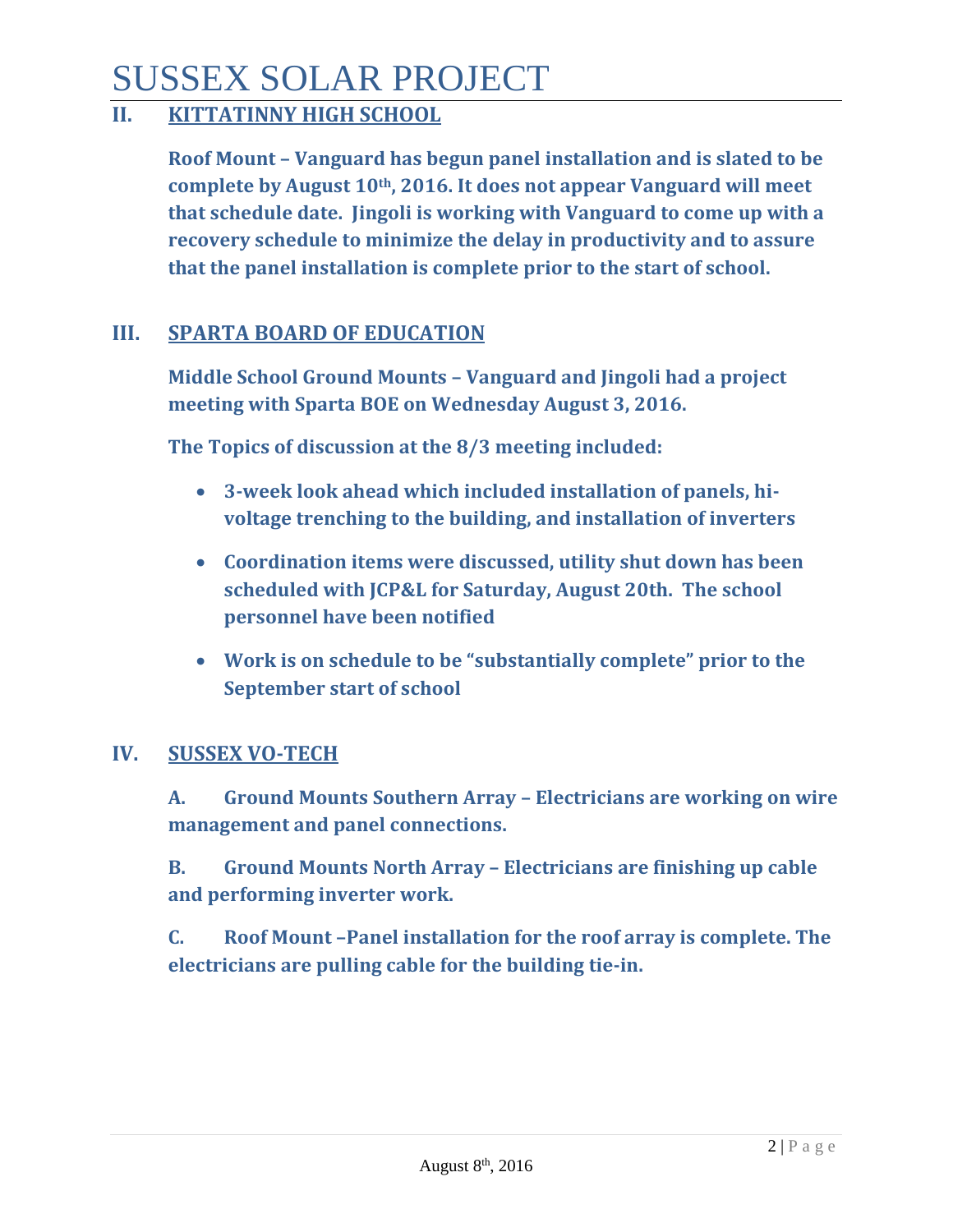## SUSSEX SOLAR PROJECT

## **II. KITTATINNY HIGH SCHOOL**

**Roof Mount – Vanguard has begun panel installation and is slated to be complete by August 10th, 2016. It does not appear Vanguard will meet that schedule date. Jingoli is working with Vanguard to come up with a recovery schedule to minimize the delay in productivity and to assure that the panel installation is complete prior to the start of school.** 

### **III. SPARTA BOARD OF EDUCATION**

**Middle School Ground Mounts – Vanguard and Jingoli had a project meeting with Sparta BOE on Wednesday August 3, 2016.**

**The Topics of discussion at the 8/3 meeting included:** 

- **3-week look ahead which included installation of panels, hivoltage trenching to the building, and installation of inverters**
- **Coordination items were discussed, utility shut down has been scheduled with JCP&L for Saturday, August 20th. The school personnel have been notified**
- **Work is on schedule to be "substantially complete" prior to the September start of school**

### **IV. SUSSEX VO-TECH**

**A. Ground Mounts Southern Array – Electricians are working on wire management and panel connections.** 

**B. Ground Mounts North Array – Electricians are finishing up cable and performing inverter work.** 

**C. Roof Mount –Panel installation for the roof array is complete. The electricians are pulling cable for the building tie-in.**